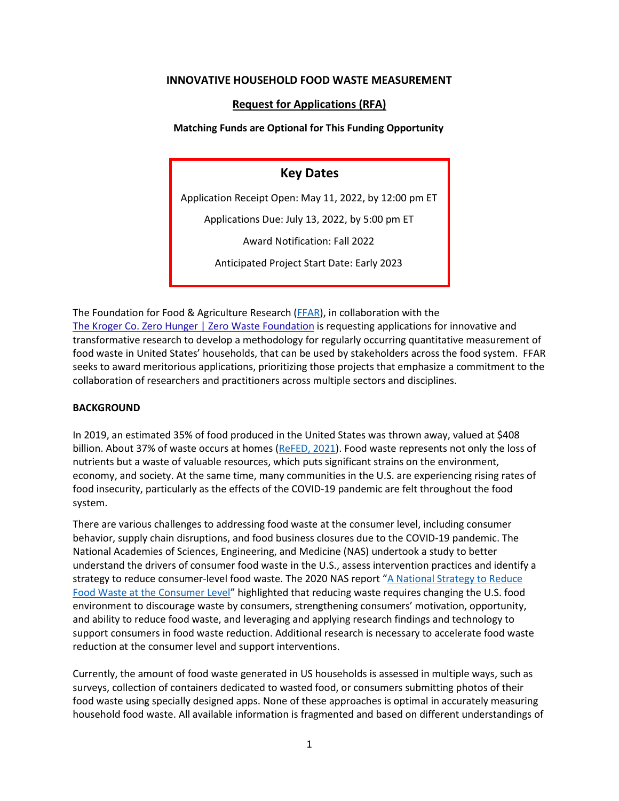### **INNOVATIVE HOUSEHOLD FOOD WASTE MEASUREMENT**

# **Request for Applications (RFA)**

### **Matching Funds are Optional for This Funding Opportunity**

# **Key Dates**

Application Receipt Open: May 11, 2022, by 12:00 pm ET

Applications Due: July 13, 2022, by 5:00 pm ET

Award Notification: Fall 2022

Anticipated Project Start Date: Early 2023

The Foundation for Food & Agriculture Research [\(FFAR\)](https://foundationfar.org/grants-funding/review-process-criteria/), in collaboration with the [The Kroger Co. Zero Hunger | Zero Waste Foundation](https://thekrogercozerohungerzerowastefoundation.com/) is requesting applications for innovative and transformative research to develop a methodology for regularly occurring quantitative measurement of food waste in United States' households, that can be used by stakeholders across the food system. FFAR seeks to award meritorious applications, prioritizing those projects that emphasize a commitment to the collaboration of researchers and practitioners across multiple sectors and disciplines.

# **BACKGROUND**

In 2019, an estimated 35% of food produced in the United States was thrown away, valued at \$408 billion. About 37% of waste occurs at homes [\(ReFED, 2021\)](https://insights-engine.refed.com/food-waste-monitor?break_by=sector&indicator=tons-surplus&view=detail&year=2019). Food waste represents not only the loss of nutrients but a waste of valuable resources, which puts significant strains on the environment, economy, and society. At the same time, many communities in the U.S. are experiencing rising rates of food insecurity, particularly as the effects of the COVID‐19 pandemic are felt throughout the food system.

There are various challenges to addressing food waste at the consumer level, including consumer behavior, supply chain disruptions, and food business closures due to the COVID‐19 pandemic. The National Academies of Sciences, Engineering, and Medicine (NAS) undertook a study to better understand the drivers of consumer food waste in the U.S., assess intervention practices and identify a strategy to reduce consumer-level food waste. The 2020 NAS report "A National Strategy to Reduce [Food Waste at the Consumer Level](https://www.nap.edu/catalog/25876/a-national-strategy-to-reduce-food-waste-at-the-consumer-level)" highlighted that reducing waste requires changing the U.S. food environment to discourage waste by consumers, strengthening consumers' motivation, opportunity, and ability to reduce food waste, and leveraging and applying research findings and technology to support consumers in food waste reduction. Additional research is necessary to accelerate food waste reduction at the consumer level and support interventions.

Currently, the amount of food waste generated in US households is assessed in multiple ways, such as surveys, collection of containers dedicated to wasted food, or consumers submitting photos of their food waste using specially designed apps. None of these approaches is optimal in accurately measuring household food waste. All available information is fragmented and based on different understandings of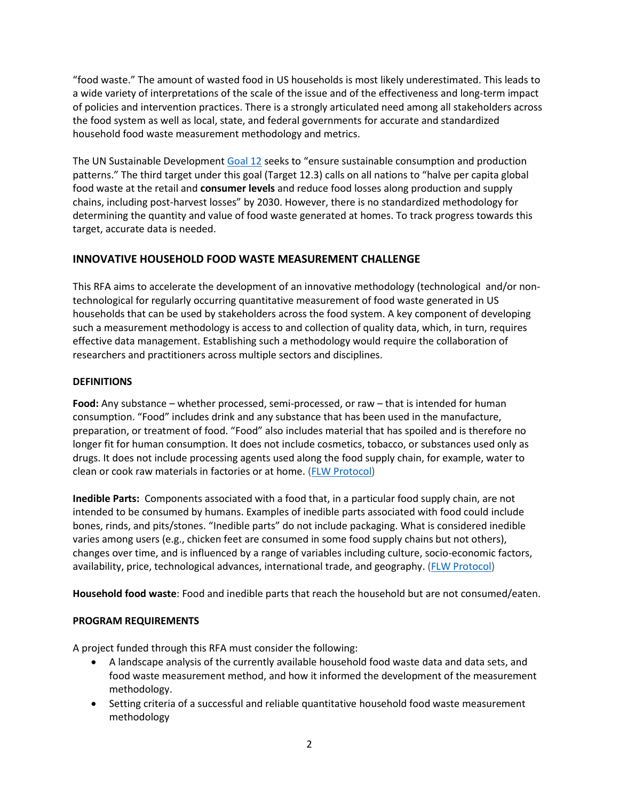"food waste." The amount of wasted food in US households is most likely underestimated. This leads to a wide variety of interpretations of the scale of the issue and of the effectiveness and long-term impact of policies and intervention practices. There is a strongly articulated need among all stakeholders across the food system as well as local, state, and federal governments for accurate and standardized household food waste measurement methodology and metrics.

The UN Sustainable Developmen[t Goal 12](https://www.un.org/sustainabledevelopment/sustainable-consumption-production/) seeks to "ensure sustainable consumption and production patterns." The third target under this goal (Target 12.3) calls on all nations to "halve per capita global food waste at the retail and **consumer levels** and reduce food losses along production and supply chains, including post‐harvest losses" by 2030. However, there is no standardized methodology for determining the quantity and value of food waste generated at homes. To track progress towards this target, accurate data is needed.

# **INNOVATIVE HOUSEHOLD FOOD WASTE MEASUREMENT CHALLENGE**

This RFA aims to accelerate the development of an innovative methodology (technological and/or nontechnological for regularly occurring quantitative measurement of food waste generated in US households that can be used by stakeholders across the food system. A key component of developing such a measurement methodology is access to and collection of quality data, which, in turn, requires effective data management. Establishing such a methodology would require the collaboration of researchers and practitioners across multiple sectors and disciplines.

### **DEFINITIONS**

**Food:** Any substance – whether processed, semi-processed, or raw – that is intended for human consumption. "Food" includes drink and any substance that has been used in the manufacture, preparation, or treatment of food. "Food" also includes material that has spoiled and is therefore no longer fit for human consumption. It does not include cosmetics, tobacco, or substances used only as drugs. It does not include processing agents used along the food supply chain, for example, water to clean or cook raw materials in factories or at home. [\(FLW Protocol\)](https://flwprotocol.org/flw-standard/tools-resources/terms-definitions/)

**Inedible Parts:** Components associated with a food that, in a particular food supply chain, are not intended to be consumed by humans. Examples of inedible parts associated with food could include bones, rinds, and pits/stones. "Inedible parts" do not include packaging. What is considered inedible varies among users (e.g., chicken feet are consumed in some food supply chains but not others), changes over time, and is influenced by a range of variables including culture, socio-economic factors, availability, price, technological advances, international trade, and geography. [\(FLW Protocol\)](https://flwprotocol.org/flw-standard/tools-resources/terms-definitions/)

**Household food waste**: Food and inedible parts that reach the household but are not consumed/eaten.

# **PROGRAM REQUIREMENTS**

A project funded through this RFA must consider the following:

- A landscape analysis of the currently available household food waste data and data sets, and food waste measurement method, and how it informed the development of the measurement methodology.
- Setting criteria of a successful and reliable quantitative household food waste measurement methodology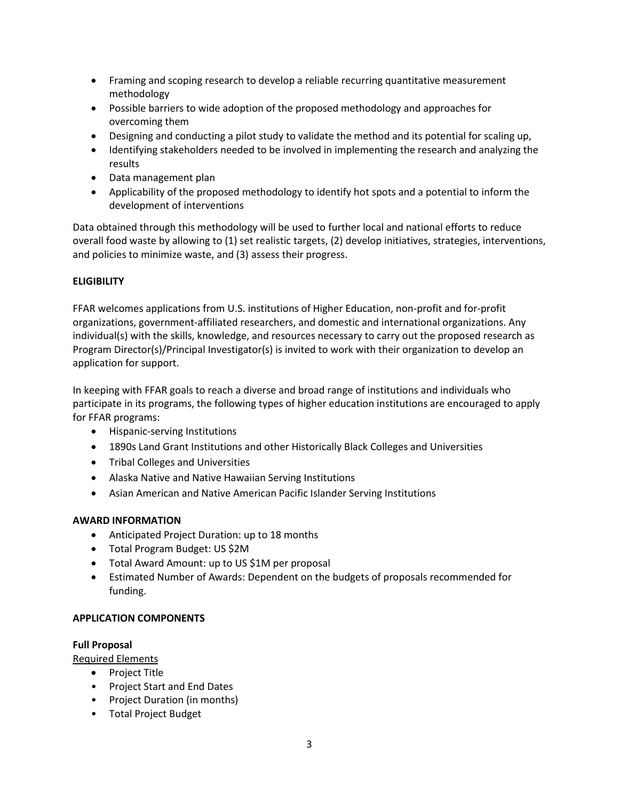- Framing and scoping research to develop a reliable recurring quantitative measurement methodology
- Possible barriers to wide adoption of the proposed methodology and approaches for overcoming them
- Designing and conducting a pilot study to validate the method and its potential for scaling up,
- Identifying stakeholders needed to be involved in implementing the research and analyzing the results
- Data management plan
- Applicability of the proposed methodology to identify hot spots and a potential to inform the development of interventions

Data obtained through this methodology will be used to further local and national efforts to reduce overall food waste by allowing to (1) set realistic targets, (2) develop initiatives, strategies, interventions, and policies to minimize waste, and (3) assess their progress.

#### **ELIGIBILITY**

FFAR welcomes applications from U.S. institutions of Higher Education, non-profit and for-profit organizations, government-affiliated researchers, and domestic and international organizations. Any individual(s) with the skills, knowledge, and resources necessary to carry out the proposed research as Program Director(s)/Principal Investigator(s) is invited to work with their organization to develop an application for support.

In keeping with FFAR goals to reach a diverse and broad range of institutions and individuals who participate in its programs, the following types of higher education institutions are encouraged to apply for FFAR programs:

- Hispanic-serving Institutions
- 1890s Land Grant Institutions and other Historically Black Colleges and Universities
- Tribal Colleges and Universities
- Alaska Native and Native Hawaiian Serving Institutions
- Asian American and Native American Pacific Islander Serving Institutions

#### **AWARD INFORMATION**

- Anticipated Project Duration: up to 18 months
- Total Program Budget: US \$2M
- Total Award Amount: up to US \$1M per proposal
- Estimated Number of Awards: Dependent on the budgets of proposals recommended for funding.

#### **APPLICATION COMPONENTS**

#### **Full Proposal**

Required Elements

- Project Title
- Project Start and End Dates
- Project Duration (in months)
- Total Project Budget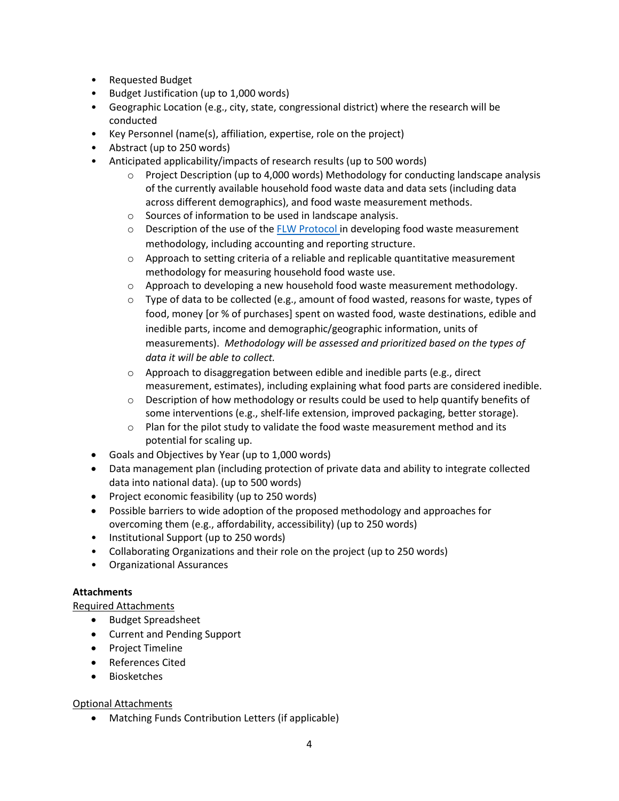- Requested Budget
- Budget Justification (up to 1,000 words)
- Geographic Location (e.g., city, state, congressional district) where the research will be conducted
- Key Personnel (name(s), affiliation, expertise, role on the project)
- Abstract (up to 250 words)
- Anticipated applicability/impacts of research results (up to 500 words)
	- $\circ$  Project Description (up to 4,000 words) Methodology for conducting landscape analysis of the currently available household food waste data and data sets (including data across different demographics), and food waste measurement methods.
	- o Sources of information to be used in landscape analysis.
	- $\circ$  Description of the use of the [FLW Protocol](https://flwprotocol.org/flw-standard/tools-resources/terms-definitions/) in developing food waste measurement methodology, including accounting and reporting structure.
	- $\circ$  Approach to setting criteria of a reliable and replicable quantitative measurement methodology for measuring household food waste use.
	- $\circ$  Approach to developing a new household food waste measurement methodology.
	- $\circ$  Type of data to be collected (e.g., amount of food wasted, reasons for waste, types of food, money [or % of purchases] spent on wasted food, waste destinations, edible and inedible parts, income and demographic/geographic information, units of measurements). *Methodology will be assessed and prioritized based on the types of data it will be able to collect.*
	- o Approach to disaggregation between edible and inedible parts (e.g., direct measurement, estimates), including explaining what food parts are considered inedible.
	- $\circ$  Description of how methodology or results could be used to help quantify benefits of some interventions (e.g., shelf-life extension, improved packaging, better storage).
	- $\circ$  Plan for the pilot study to validate the food waste measurement method and its potential for scaling up.
- Goals and Objectives by Year (up to 1,000 words)
- Data management plan (including protection of private data and ability to integrate collected data into national data). (up to 500 words)
- Project economic feasibility (up to 250 words)
- Possible barriers to wide adoption of the proposed methodology and approaches for overcoming them (e.g., affordability, accessibility) (up to 250 words)
- Institutional Support (up to 250 words)
- Collaborating Organizations and their role on the project (up to 250 words)
- Organizational Assurances

# **Attachments**

# Required Attachments

- Budget Spreadsheet
- Current and Pending Support
- Project Timeline
- References Cited
- Biosketches

# Optional Attachments

• Matching Funds Contribution Letters (if applicable)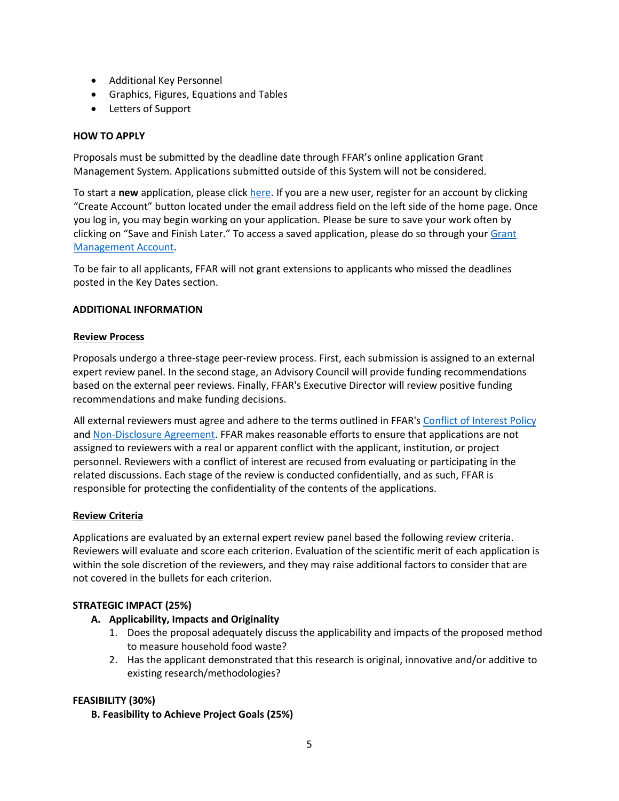- Additional Key Personnel
- Graphics, Figures, Equations and Tables
- Letters of Support

#### **HOW TO APPLY**

Proposals must be submitted by the deadline date through FFAR's online application Grant Management System. Applications submitted outside of this System will not be considered.

To start a **new** application, please click [here.](https://www.grantrequest.com/SID_6242?SA=SNA&FID=35095) If you are a new user, register for an account by clicking "Create Account" button located under the email address field on the left side of the home page. Once you log in, you may begin working on your application. Please be sure to save your work often by clicking on "Save and Finish Later." To access a saved application, please do so through your Grant [Management Account.](https://www.grantrequest.com/SID_6242)

To be fair to all applicants, FFAR will not grant extensions to applicants who missed the deadlines posted in the Key Dates section.

#### **ADDITIONAL INFORMATION**

#### **Review Process**

Proposals undergo a three-stage peer-review process. First, each submission is assigned to an external expert review panel. In the second stage, an Advisory Council will provide funding recommendations based on the external peer reviews. Finally, FFAR's Executive Director will review positive funding recommendations and make funding decisions.

All external reviewers must agree and adhere to the terms outlined in FFAR'[s Conflict of Interest Policy](https://foundationfar.org/grants-funding/reviewer-conflict-of-interest-policies/) and [Non-Disclosure Agreement.](https://foundationfar.org/grants-funding/reviewer-non-disclosure-agreement/) FFAR makes reasonable efforts to ensure that applications are not assigned to reviewers with a real or apparent conflict with the applicant, institution, or project personnel. Reviewers with a conflict of interest are recused from evaluating or participating in the related discussions. Each stage of the review is conducted confidentially, and as such, FFAR is responsible for protecting the confidentiality of the contents of the applications.

#### **Review Criteria**

Applications are evaluated by an external expert review panel based the following review criteria. Reviewers will evaluate and score each criterion. Evaluation of the scientific merit of each application is within the sole discretion of the reviewers, and they may raise additional factors to consider that are not covered in the bullets for each criterion.

#### **STRATEGIC IMPACT (25%)**

#### **A. Applicability, Impacts and Originality**

- 1. Does the proposal adequately discuss the applicability and impacts of the proposed method to measure household food waste?
- 2. Has the applicant demonstrated that this research is original, innovative and/or additive to existing research/methodologies?

#### **FEASIBILITY (30%)**

**B. Feasibility to Achieve Project Goals (25%)**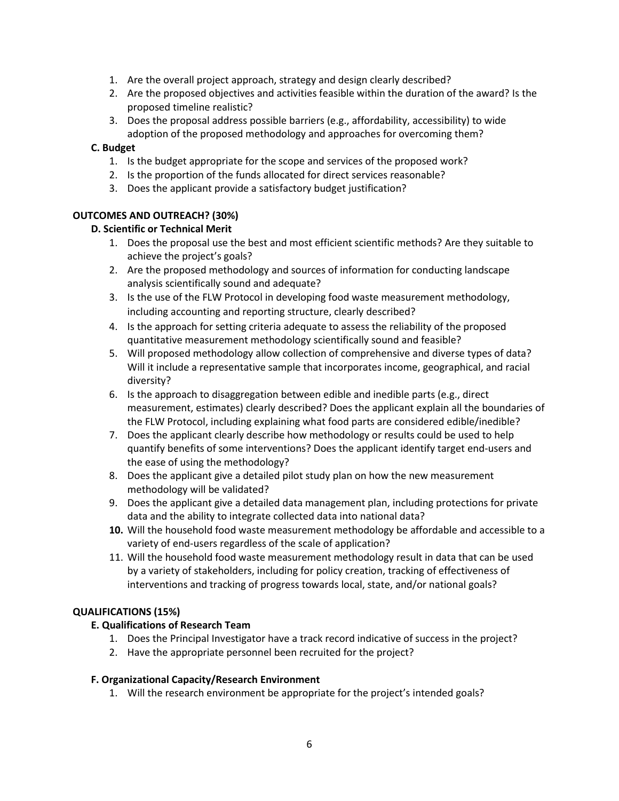- 1. Are the overall project approach, strategy and design clearly described?
- 2. Are the proposed objectives and activities feasible within the duration of the award? Is the proposed timeline realistic?
- 3. Does the proposal address possible barriers (e.g., affordability, accessibility) to wide adoption of the proposed methodology and approaches for overcoming them?

### **C. Budget**

- 1. Is the budget appropriate for the scope and services of the proposed work?
- 2. Is the proportion of the funds allocated for direct services reasonable?
- 3. Does the applicant provide a satisfactory budget justification?

### **OUTCOMES AND OUTREACH? (30%)**

### **D. Scientific or Technical Merit**

- 1. Does the proposal use the best and most efficient scientific methods? Are they suitable to achieve the project's goals?
- 2. Are the proposed methodology and sources of information for conducting landscape analysis scientifically sound and adequate?
- 3. Is the use of the FLW Protocol in developing food waste measurement methodology, including accounting and reporting structure, clearly described?
- 4. Is the approach for setting criteria adequate to assess the reliability of the proposed quantitative measurement methodology scientifically sound and feasible?
- 5. Will proposed methodology allow collection of comprehensive and diverse types of data? Will it include a representative sample that incorporates income, geographical, and racial diversity?
- 6. Is the approach to disaggregation between edible and inedible parts (e.g., direct measurement, estimates) clearly described? Does the applicant explain all the boundaries of the FLW Protocol, including explaining what food parts are considered edible/inedible?
- 7. Does the applicant clearly describe how methodology or results could be used to help quantify benefits of some interventions? Does the applicant identify target end-users and the ease of using the methodology?
- 8. Does the applicant give a detailed pilot study plan on how the new measurement methodology will be validated?
- 9. Does the applicant give a detailed data management plan, including protections for private data and the ability to integrate collected data into national data?
- **10.** Will the household food waste measurement methodology be affordable and accessible to a variety of end-users regardless of the scale of application?
- 11. Will the household food waste measurement methodology result in data that can be used by a variety of stakeholders, including for policy creation, tracking of effectiveness of interventions and tracking of progress towards local, state, and/or national goals?

#### **QUALIFICATIONS (15%)**

#### **E. Qualifications of Research Team**

- 1. Does the Principal Investigator have a track record indicative of success in the project?
- 2. Have the appropriate personnel been recruited for the project?

#### **F. Organizational Capacity/Research Environment**

1. Will the research environment be appropriate for the project's intended goals?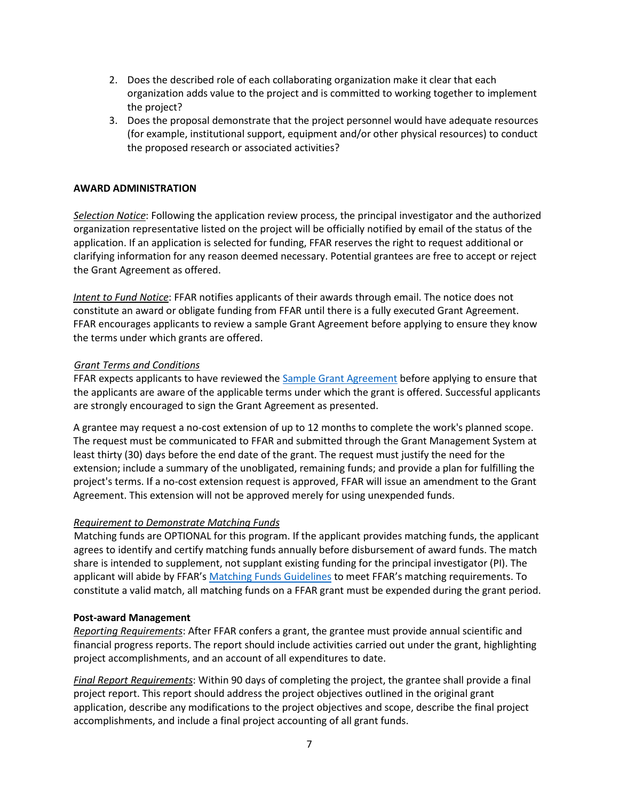- 2. Does the described role of each collaborating organization make it clear that each organization adds value to the project and is committed to working together to implement the project?
- 3. Does the proposal demonstrate that the project personnel would have adequate resources (for example, institutional support, equipment and/or other physical resources) to conduct the proposed research or associated activities?

### **AWARD ADMINISTRATION**

*Selection Notice*: Following the application review process, the principal investigator and the authorized organization representative listed on the project will be officially notified by email of the status of the application. If an application is selected for funding, FFAR reserves the right to request additional or clarifying information for any reason deemed necessary. Potential grantees are free to accept or reject the Grant Agreement as offered.

*Intent to Fund Notice*: FFAR notifies applicants of their awards through email. The notice does not constitute an award or obligate funding from FFAR until there is a fully executed Grant Agreement. FFAR encourages applicants to review a sample Grant Agreement before applying to ensure they know the terms under which grants are offered.

### *Grant Terms and Conditions*

FFAR expects applicants to have reviewed th[e Sample Grant Agreement](https://foundationfar.org/grants-funding/resources/forms-and-examples/) before applying to ensure that the applicants are aware of the applicable terms under which the grant is offered. Successful applicants are strongly encouraged to sign the Grant Agreement as presented.

A grantee may request a no-cost extension of up to 12 months to complete the work's planned scope. The request must be communicated to FFAR and submitted through the Grant Management System at least thirty (30) days before the end date of the grant. The request must justify the need for the extension; include a summary of the unobligated, remaining funds; and provide a plan for fulfilling the project's terms. If a no-cost extension request is approved, FFAR will issue an amendment to the Grant Agreement. This extension will not be approved merely for using unexpended funds.

#### *Requirement to Demonstrate Matching Funds*

Matching funds are OPTIONAL for this program. If the applicant provides matching funds, the applicant agrees to identify and certify matching funds annually before disbursement of award funds. The match share is intended to supplement, not supplant existing funding for the principal investigator (PI). The applicant will abide by FFAR's [Matching Funds Guidelines](https://foundationfar.org/grants-funding/resources/matching-funds/) to meet FFAR's matching requirements. To constitute a valid match, all matching funds on a FFAR grant must be expended during the grant period.

#### **Post-award Management**

*Reporting Requirements*: After FFAR confers a grant, the grantee must provide annual scientific and financial progress reports. The report should include activities carried out under the grant, highlighting project accomplishments, and an account of all expenditures to date.

*Final Report Requirements*: Within 90 days of completing the project, the grantee shall provide a final project report. This report should address the project objectives outlined in the original grant application, describe any modifications to the project objectives and scope, describe the final project accomplishments, and include a final project accounting of all grant funds.